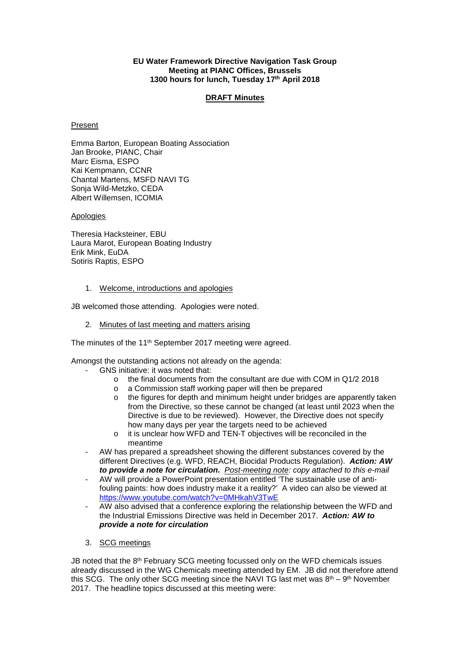#### **EU Water Framework Directive Navigation Task Group Meeting at PIANC Offices, Brussels 1300 hours for lunch, Tuesday 17th April 2018**

### **DRAFT Minutes**

#### Present

Emma Barton, European Boating Association Jan Brooke, PIANC, Chair Marc Eisma, ESPO Kai Kempmann, CCNR Chantal Martens, MSFD NAVI TG Sonja Wild-Metzko, CEDA Albert Willemsen, ICOMIA

#### **Apologies**

Theresia Hacksteiner, EBU Laura Marot, European Boating Industry Erik Mink, EuDA Sotiris Raptis, ESPO

### 1. Welcome, introductions and apologies

JB welcomed those attending. Apologies were noted.

2. Minutes of last meeting and matters arising

The minutes of the 11<sup>th</sup> September 2017 meeting were agreed.

Amongst the outstanding actions not already on the agenda:

- GNS initiative: it was noted that:
	- o the final documents from the consultant are due with COM in Q1/2 2018
	- o a Commission staff working paper will then be prepared
	- $\circ$  the figures for depth and minimum height under bridges are apparently taken from the Directive, so these cannot be changed (at least until 2023 when the Directive is due to be reviewed). However, the Directive does not specify how many days per year the targets need to be achieved
	- o it is unclear how WFD and TEN-T objectives will be reconciled in the meantime
- AW has prepared a spreadsheet showing the different substances covered by the different Directives (e.g. WFD, REACH, Biocidal Products Regulation). *Action: AW to provide a note for circulation. Post-meeting note: copy attached to this e-mail*
- AW will provide a PowerPoint presentation entitled 'The sustainable use of antifouling paints: how does industry make it a reality?' A video can also be viewed at <https://www.youtube.com/watch?v=0MHkahV3TwE>
- AW also advised that a conference exploring the relationship between the WFD and the Industrial Emissions Directive was held in December 2017. *Action: AW to provide a note for circulation*
- 3. SCG meetings

JB noted that the  $8<sup>th</sup>$  February SCG meeting focussed only on the WFD chemicals issues already discussed in the WG Chemicals meeting attended by EM. JB did not therefore attend this SCG. The only other SCG meeting since the NAVI TG last met was  $8<sup>th</sup> - 9<sup>th</sup>$  November 2017. The headline topics discussed at this meeting were: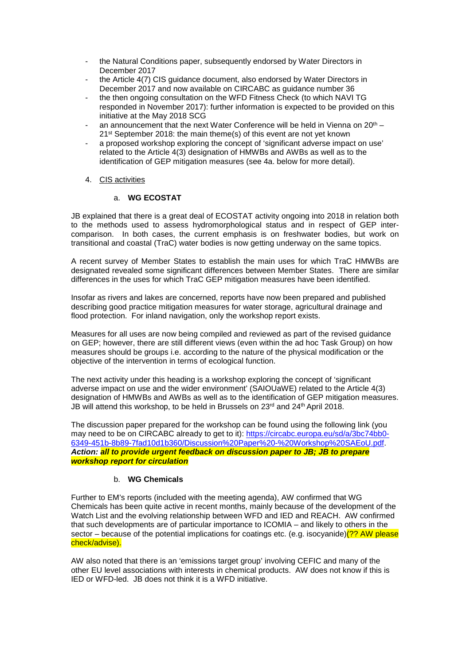- the Natural Conditions paper, subsequently endorsed by Water Directors in December 2017
- the Article 4(7) CIS guidance document, also endorsed by Water Directors in December 2017 and now available on CIRCABC as guidance number 36
- the then ongoing consultation on the WFD Fitness Check (to which NAVI TG responded in November 2017): further information is expected to be provided on this initiative at the May 2018 SCG
- an announcement that the next Water Conference will be held in Vienna on  $20<sup>th</sup>$  21<sup>st</sup> September 2018: the main theme(s) of this event are not yet known
- a proposed workshop exploring the concept of 'significant adverse impact on use' related to the Article 4(3) designation of HMWBs and AWBs as well as to the identification of GEP mitigation measures (see 4a. below for more detail).

### 4. CIS activities

### a. **WG ECOSTAT**

JB explained that there is a great deal of ECOSTAT activity ongoing into 2018 in relation both to the methods used to assess hydromorphological status and in respect of GEP intercomparison. In both cases, the current emphasis is on freshwater bodies, but work on transitional and coastal (TraC) water bodies is now getting underway on the same topics.

A recent survey of Member States to establish the main uses for which TraC HMWBs are designated revealed some significant differences between Member States. There are similar differences in the uses for which TraC GEP mitigation measures have been identified.

Insofar as rivers and lakes are concerned, reports have now been prepared and published describing good practice mitigation measures for water storage, agricultural drainage and flood protection. For inland navigation, only the workshop report exists.

Measures for all uses are now being compiled and reviewed as part of the revised guidance on GEP; however, there are still different views (even within the ad hoc Task Group) on how measures should be groups i.e. according to the nature of the physical modification or the objective of the intervention in terms of ecological function.

The next activity under this heading is a workshop exploring the concept of 'significant adverse impact on use and the wider environment' (SAIOUaWE) related to the Article 4(3) designation of HMWBs and AWBs as well as to the identification of GEP mitigation measures. JB will attend this workshop, to be held in Brussels on 23<sup>rd</sup> and 24<sup>th</sup> April 2018.

The discussion paper prepared for the workshop can be found using the following link (you may need to be on CIRCABC already to get to it): [https://circabc.europa.eu/sd/a/3bc74bb0-](https://circabc.europa.eu/sd/a/3bc74bb0-6349-451b-8b89-7fad10d1b360/Discussion%20Paper%20-%20Workshop%20SAEoU.pdf) [6349-451b-8b89-7fad10d1b360/Discussion%20Paper%20-%20Workshop%20SAEoU.pdf.](https://circabc.europa.eu/sd/a/3bc74bb0-6349-451b-8b89-7fad10d1b360/Discussion%20Paper%20-%20Workshop%20SAEoU.pdf) *Action: all to provide urgent feedback on discussion paper to JB; JB to prepare workshop report for circulation*

### b. **WG Chemicals**

Further to EM's reports (included with the meeting agenda), AW confirmed that WG Chemicals has been quite active in recent months, mainly because of the development of the Watch List and the evolving relationship between WFD and IED and REACH. AW confirmed that such developments are of particular importance to ICOMIA – and likely to others in the sector – because of the potential implications for coatings etc. (e.g. isocyanide) $(?? AN please$ check/advise).

AW also noted that there is an 'emissions target group' involving CEFIC and many of the other EU level associations with interests in chemical products. AW does not know if this is IED or WFD-led. JB does not think it is a WFD initiative.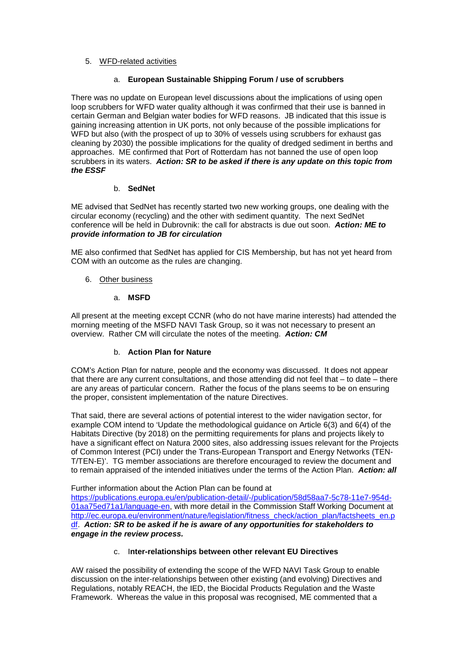### 5. WFD-related activities

### a. **European Sustainable Shipping Forum / use of scrubbers**

There was no update on European level discussions about the implications of using open loop scrubbers for WFD water quality although it was confirmed that their use is banned in certain German and Belgian water bodies for WFD reasons. JB indicated that this issue is gaining increasing attention in UK ports, not only because of the possible implications for WFD but also (with the prospect of up to 30% of vessels using scrubbers for exhaust gas cleaning by 2030) the possible implications for the quality of dredged sediment in berths and approaches. ME confirmed that Port of Rotterdam has not banned the use of open loop scrubbers in its waters. *Action: SR to be asked if there is any update on this topic from the ESSF*

### b. **SedNet**

ME advised that SedNet has recently started two new working groups, one dealing with the circular economy (recycling) and the other with sediment quantity. The next SedNet conference will be held in Dubrovnik: the call for abstracts is due out soon. *Action: ME to provide information to JB for circulation* 

ME also confirmed that SedNet has applied for CIS Membership, but has not yet heard from COM with an outcome as the rules are changing.

### 6. Other business

### a. **MSFD**

All present at the meeting except CCNR (who do not have marine interests) had attended the morning meeting of the MSFD NAVI Task Group, so it was not necessary to present an overview. Rather CM will circulate the notes of the meeting. *Action: CM*

# b. **Action Plan for Nature**

COM's Action Plan for nature, people and the economy was discussed. It does not appear that there are any current consultations, and those attending did not feel that – to date – there are any areas of particular concern. Rather the focus of the plans seems to be on ensuring the proper, consistent implementation of the nature Directives.

That said, there are several actions of potential interest to the wider navigation sector, for example COM intend to 'Update the methodological guidance on Article 6(3) and 6(4) of the Habitats Directive (by 2018) on the permitting requirements for plans and projects likely to have a significant effect on Natura 2000 sites, also addressing issues relevant for the Projects of Common Interest (PCI) under the Trans-European Transport and Energy Networks (TEN-T/TEN-E)'. TG member associations are therefore encouraged to review the document and to remain appraised of the intended initiatives under the terms of the Action Plan. *Action: all*

Further information about the Action Plan can be found at [https://publications.europa.eu/en/publication-detail/-/publication/58d58aa7-5c78-11e7-954d-](https://publications.europa.eu/en/publication-detail/-/publication/58d58aa7-5c78-11e7-954d-01aa75ed71a1/language-en)[01aa75ed71a1/language-en,](https://publications.europa.eu/en/publication-detail/-/publication/58d58aa7-5c78-11e7-954d-01aa75ed71a1/language-en) with more detail in the Commission Staff Working Document at [http://ec.europa.eu/environment/nature/legislation/fitness\\_check/action\\_plan/factsheets\\_en.p](http://ec.europa.eu/environment/nature/legislation/fitness_check/action_plan/factsheets_en.pdf) [df.](http://ec.europa.eu/environment/nature/legislation/fitness_check/action_plan/factsheets_en.pdf) *Action: SR to be asked if he is aware of any opportunities for stakeholders to engage in the review process.*

### c. I**nter-relationships between other relevant EU Directives**

AW raised the possibility of extending the scope of the WFD NAVI Task Group to enable discussion on the inter-relationships between other existing (and evolving) Directives and Regulations, notably REACH, the IED, the Biocidal Products Regulation and the Waste Framework. Whereas the value in this proposal was recognised, ME commented that a